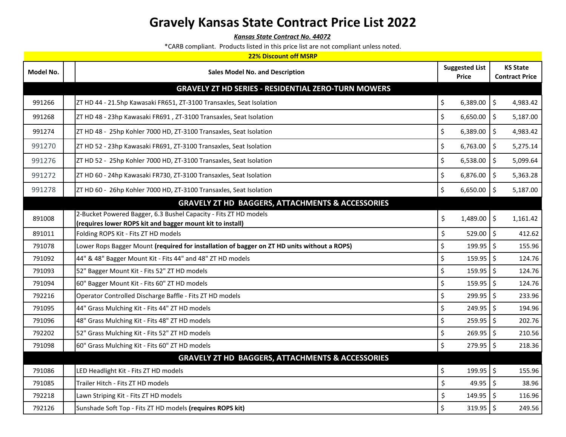*Kansas State Contract No. 44072*

| <b>22% Discount off MSRP</b> |                                                                                                                               |                                       |                                          |  |  |
|------------------------------|-------------------------------------------------------------------------------------------------------------------------------|---------------------------------------|------------------------------------------|--|--|
| Model No.                    | <b>Sales Model No. and Description</b>                                                                                        | <b>Suggested List</b><br><b>Price</b> | <b>KS State</b><br><b>Contract Price</b> |  |  |
|                              | <b>GRAVELY ZT HD SERIES - RESIDENTIAL ZERO-TURN MOWERS</b>                                                                    |                                       |                                          |  |  |
| 991266                       | ZT HD 44 - 21.5hp Kawasaki FR651, ZT-3100 Transaxles, Seat Isolation                                                          | \$<br>6,389.00                        | \$<br>4,983.42                           |  |  |
| 991268                       | ZT HD 48 - 23hp Kawasaki FR691, ZT-3100 Transaxles, Seat Isolation                                                            | \$<br>6,650.00                        | $\boldsymbol{\zeta}$<br>5,187.00         |  |  |
| 991274                       | ZT HD 48 - 25hp Kohler 7000 HD, ZT-3100 Transaxles, Seat Isolation                                                            | \$<br>6,389.00                        | \$<br>4,983.42                           |  |  |
| 991270                       | ZT HD 52 - 23hp Kawasaki FR691, ZT-3100 Transaxles, Seat Isolation                                                            | \$<br>6,763.00                        | \$<br>5,275.14                           |  |  |
| 991276                       | ZT HD 52 - 25hp Kohler 7000 HD, ZT-3100 Transaxles, Seat Isolation                                                            | \$<br>6,538.00                        | $\boldsymbol{\zeta}$<br>5,099.64         |  |  |
| 991272                       | ZT HD 60 - 24hp Kawasaki FR730, ZT-3100 Transaxles, Seat Isolation                                                            | \$<br>6,876.00                        | \$<br>5,363.28                           |  |  |
| 991278                       | ZT HD 60 - 26hp Kohler 7000 HD, ZT-3100 Transaxles, Seat Isolation                                                            | \$<br>6,650.00                        | $\boldsymbol{\zeta}$<br>5,187.00         |  |  |
|                              | <b>GRAVELY ZT HD BAGGERS, ATTACHMENTS &amp; ACCESSORIES</b>                                                                   |                                       |                                          |  |  |
| 891008                       | 2-Bucket Powered Bagger, 6.3 Bushel Capacity - Fits ZT HD models<br>(requires lower ROPS kit and bagger mount kit to install) | \$<br>1,489.00                        | \$<br>1,161.42                           |  |  |
| 891011                       | Folding ROPS Kit - Fits ZT HD models                                                                                          | \$<br>529.00                          | $\zeta$<br>412.62                        |  |  |
| 791078                       | Lower Rops Bagger Mount (required for installation of bagger on ZT HD units without a ROPS)                                   | \$<br>$199.95$ \$                     | 155.96                                   |  |  |
| 791092                       | 44" & 48" Bagger Mount Kit - Fits 44" and 48" ZT HD models                                                                    | \$<br>159.95                          | $\boldsymbol{\zeta}$<br>124.76           |  |  |
| 791093                       | 52" Bagger Mount Kit - Fits 52" ZT HD models                                                                                  | \$<br>159.95                          | $\mathsf{\hat{S}}$<br>124.76             |  |  |
| 791094                       | 60" Bagger Mount Kit - Fits 60" ZT HD models                                                                                  | \$<br>159.95                          | \$<br>124.76                             |  |  |
| 792216                       | Operator Controlled Discharge Baffle - Fits ZT HD models                                                                      | \$<br>299.95                          | $\mathsf{\hat{S}}$<br>233.96             |  |  |
| 791095                       | 44" Grass Mulching Kit - Fits 44" ZT HD models                                                                                | \$<br>$249.95$ \$                     | 194.96                                   |  |  |
| 791096                       | 48" Grass Mulching Kit - Fits 48" ZT HD models                                                                                | \$<br>$259.95$ \$                     | 202.76                                   |  |  |
| 792202                       | 52" Grass Mulching Kit - Fits 52" ZT HD models                                                                                | $\zeta$<br>$269.95$ \$                | 210.56                                   |  |  |
| 791098                       | 60" Grass Mulching Kit - Fits 60" ZT HD models                                                                                | \$<br>279.95 \$                       | 218.36                                   |  |  |
|                              | <b>GRAVELY ZT HD BAGGERS, ATTACHMENTS &amp; ACCESSORIES</b>                                                                   |                                       |                                          |  |  |
| 791086                       | LED Headlight Kit - Fits ZT HD models                                                                                         | \$<br>199.95                          | \$<br>155.96                             |  |  |
| 791085                       | Trailer Hitch - Fits ZT HD models                                                                                             | \$<br>49.95                           | \$<br>38.96                              |  |  |
| 792218                       | Lawn Striping Kit - Fits ZT HD models                                                                                         | \$<br>149.95                          | $\mathsf{\hat{S}}$<br>116.96             |  |  |
| 792126                       | Sunshade Soft Top - Fits ZT HD models (requires ROPS kit)                                                                     | \$<br>319.95 \$                       | 249.56                                   |  |  |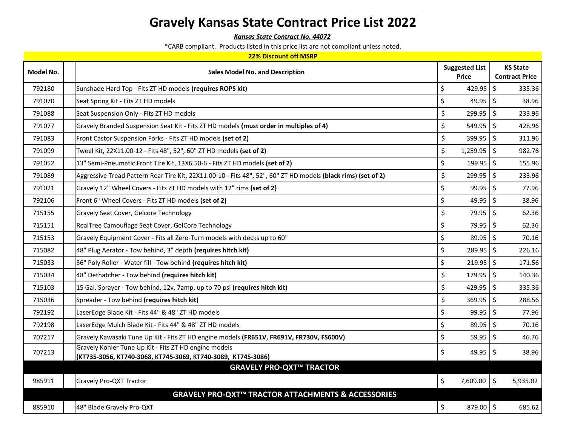*Kansas State Contract No. 44072*

|  | 22% Discount off MSRP |  |  |  |
|--|-----------------------|--|--|--|
|--|-----------------------|--|--|--|

| Model No. | <b>Sales Model No. and Description</b>                                                                                | <b>Suggested List</b><br><b>Price</b> | <b>KS State</b><br><b>Contract Price</b> |
|-----------|-----------------------------------------------------------------------------------------------------------------------|---------------------------------------|------------------------------------------|
| 792180    | Sunshade Hard Top - Fits ZT HD models (requires ROPS kit)                                                             | \$<br>429.95                          | \$<br>335.36                             |
| 791070    | Seat Spring Kit - Fits ZT HD models                                                                                   | \$<br>49.95                           | \$<br>38.96                              |
| 791088    | Seat Suspension Only - Fits ZT HD models                                                                              | \$<br>299.95                          | \$<br>233.96                             |
| 791077    | Gravely Branded Suspension Seat Kit - Fits ZT HD models (must order in multiples of 4)                                | \$<br>549.95                          | \$<br>428.96                             |
| 791083    | Front Castor Suspension Forks - Fits ZT HD models (set of 2)                                                          | \$<br>399.95                          | \$<br>311.96                             |
| 791099    | Tweel Kit, 22X11.00-12 - Fits 48", 52", 60" ZT HD models (set of 2)                                                   | \$<br>1,259.95                        | \$<br>982.76                             |
| 791052    | 13" Semi-Pneumatic Front Tire Kit, 13X6.50-6 - Fits ZT HD models (set of 2)                                           | $\zeta$<br>199.95                     | $\zeta$<br>155.96                        |
| 791089    | Aggressive Tread Pattern Rear Tire Kit, 22X11.00-10 - Fits 48", 52", 60" ZT HD models (black rims) (set of 2)         | \$<br>299.95                          | \$<br>233.96                             |
| 791021    | Gravely 12" Wheel Covers - Fits ZT HD models with 12" rims (set of 2)                                                 | $\zeta$<br>99.95                      | \$<br>77.96                              |
| 792106    | Front 6" Wheel Covers - Fits ZT HD models (set of 2)                                                                  | \$<br>49.95                           | \$<br>38.96                              |
| 715155    | Gravely Seat Cover, Gelcore Technology                                                                                | \$<br>79.95                           | \$<br>62.36                              |
| 715151    | RealTree Camouflage Seat Cover, GelCore Technology                                                                    | \$<br>79.95                           | \$<br>62.36                              |
| 715153    | Gravely Equipment Cover - Fits all Zero-Turn models with decks up to 60"                                              | \$<br>89.95                           | \$<br>70.16                              |
| 715082    | 48" Plug Aerator - Tow behind, 3" depth (requires hitch kit)                                                          | $\zeta$<br>289.95                     | \$<br>226.16                             |
| 715033    | 36" Poly Roller - Water fill - Tow behind (requires hitch kit)                                                        | \$<br>219.95                          | \$<br>171.56                             |
| 715034    | 48" Dethatcher - Tow behind (requires hitch kit)                                                                      | \$<br>179.95                          | $\zeta$<br>140.36                        |
| 715103    | 15 Gal. Sprayer - Tow behind, 12v, 7amp, up to 70 psi (requires hitch kit)                                            | \$<br>429.95                          | \$<br>335.36                             |
| 715036    | Spreader - Tow behind (requires hitch kit)                                                                            | \$<br>369.95                          | $\zeta$<br>288.56                        |
| 792192    | LaserEdge Blade Kit - Fits 44" & 48" ZT HD models                                                                     | \$<br>99.95                           | \$<br>77.96                              |
| 792198    | LaserEdge Mulch Blade Kit - Fits 44" & 48" ZT HD models                                                               | $\zeta$<br>89.95                      | \$<br>70.16                              |
| 707217    | Gravely Kawasaki Tune Up Kit - Fits ZT HD engine models (FR651V, FR691V, FR730V, FS600V)                              | \$<br>59.95                           | \$<br>46.76                              |
| 707213    | Gravely Kohler Tune Up Kit - Fits ZT HD engine models<br>(KT735-3056, KT740-3068, KT745-3069, KT740-3089, KT745-3086) | \$<br>49.95                           | \$<br>38.96                              |
|           | <b>GRAVELY PRO-QXT™ TRACTOR</b>                                                                                       |                                       |                                          |
| 985911    | Gravely Pro-QXT Tractor                                                                                               | \$<br>7,609.00                        | \$<br>5,935.02                           |
|           | GRAVELY PRO-QXT™ TRACTOR ATTACHMENTS & ACCESSORIES                                                                    |                                       |                                          |
| 885910    | 48" Blade Gravely Pro-QXT                                                                                             | \$<br>879.00 \$                       | 685.62                                   |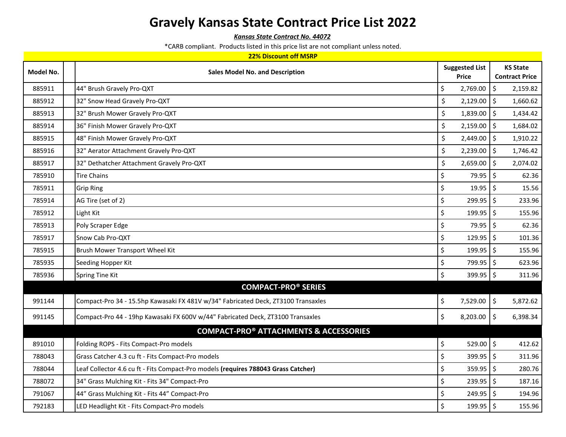*Kansas State Contract No. 44072*

| Model No. | <b>Sales Model No. and Description</b>                                             | <b>Suggested List</b>                       | <b>KS State</b>           |
|-----------|------------------------------------------------------------------------------------|---------------------------------------------|---------------------------|
|           |                                                                                    | <b>Price</b>                                | <b>Contract Price</b>     |
| 885911    | 44" Brush Gravely Pro-QXT                                                          | $\zeta$<br>2,769.00                         | \$<br>2,159.82            |
| 885912    | 32" Snow Head Gravely Pro-QXT                                                      | \$<br>2,129.00                              | $\zeta$<br>1,660.62       |
| 885913    | 32" Brush Mower Gravely Pro-QXT                                                    | \$<br>$1,839.00$ \$                         | 1,434.42                  |
| 885914    | 36" Finish Mower Gravely Pro-QXT                                                   | \$<br>2,159.00                              | $\zeta$<br>1,684.02       |
| 885915    | 48" Finish Mower Gravely Pro-QXT                                                   | \$<br>$2,449.00$ \$                         | 1,910.22                  |
| 885916    | 32" Aerator Attachment Gravely Pro-QXT                                             | \$<br>2,239.00                              | Ŝ.<br>1,746.42            |
| 885917    | 32" Dethatcher Attachment Gravely Pro-QXT                                          | \$<br>2,659.00                              | \$<br>2,074.02            |
| 785910    | <b>Tire Chains</b>                                                                 | $\zeta$<br>79.95 \$                         | 62.36                     |
| 785911    | <b>Grip Ring</b>                                                                   | $\zeta$<br>$19.95$ \$                       | 15.56                     |
| 785914    | AG Tire (set of 2)                                                                 | \$<br>299.95                                | $\ddot{\phi}$<br>233.96   |
| 785912    | Light Kit                                                                          | \$<br>$199.95$ \$                           | 155.96                    |
| 785913    | Poly Scraper Edge                                                                  | 79.95 \$<br>$\zeta$                         | 62.36                     |
| 785917    | Snow Cab Pro-QXT                                                                   | $\zeta$<br>$129.95$ \$                      | 101.36                    |
| 785915    | Brush Mower Transport Wheel Kit                                                    | $\zeta$<br>$199.95$ \$                      | 155.96                    |
| 785935    | Seeding Hopper Kit                                                                 | \$<br>$799.95$ \$                           | 623.96                    |
| 785936    | Spring Tine Kit                                                                    | $\boldsymbol{\dot{\varsigma}}$<br>399.95 \$ | 311.96                    |
|           | <b>COMPACT-PRO® SERIES</b>                                                         |                                             |                           |
| 991144    | Compact-Pro 34 - 15.5hp Kawasaki FX 481V w/34" Fabricated Deck, ZT3100 Transaxles  | \$<br>7,529.00                              | $\ddot{\phi}$<br>5,872.62 |
| 991145    | Compact-Pro 44 - 19hp Kawasaki FX 600V w/44" Fabricated Deck, ZT3100 Transaxles    | $\zeta$<br>$8,203.00$ \$                    | 6,398.34                  |
|           | <b>COMPACT-PRO® ATTACHMENTS &amp; ACCESSORIES</b>                                  |                                             |                           |
| 891010    | Folding ROPS - Fits Compact-Pro models                                             | \$<br>529.00 \$                             | 412.62                    |
| 788043    | Grass Catcher 4.3 cu ft - Fits Compact-Pro models                                  | \$<br>$399.95$ \$                           | 311.96                    |
| 788044    | Leaf Collector 4.6 cu ft - Fits Compact-Pro models (requires 788043 Grass Catcher) | \$<br>$359.95$ \$                           | 280.76                    |
| 788072    | 34" Grass Mulching Kit - Fits 34" Compact-Pro                                      | \$<br>$239.95$ \$                           | 187.16                    |
| 791067    | 44" Grass Mulching Kit - Fits 44" Compact-Pro                                      | \$<br>249.95                                | $\mathsf{S}$<br>194.96    |
| 792183    | LED Headlight Kit - Fits Compact-Pro models                                        | \$<br>$199.95$ \$                           | 155.96                    |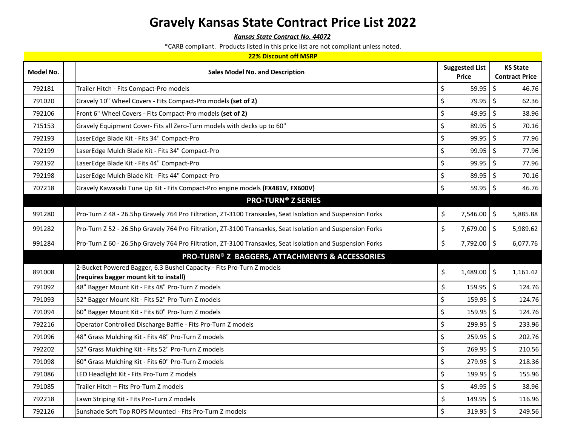*Kansas State Contract No. 44072*

|  |  |  | 22% Discount off MSRP |  |
|--|--|--|-----------------------|--|
|--|--|--|-----------------------|--|

| Model No. | <b>Sales Model No. and Description</b>                                                                          | <b>Suggested List</b><br><b>Price</b> | <b>KS State</b><br><b>Contract Price</b> |
|-----------|-----------------------------------------------------------------------------------------------------------------|---------------------------------------|------------------------------------------|
| 792181    | Trailer Hitch - Fits Compact-Pro models                                                                         | \$<br>$59.95$ 5                       | 46.76                                    |
| 791020    | Gravely 10" Wheel Covers - Fits Compact-Pro models (set of 2)                                                   | $\zeta$<br>79.95                      | $\zeta$<br>62.36                         |
| 792106    | Front 6" Wheel Covers - Fits Compact-Pro models (set of 2)                                                      | \$<br>49.95                           | $\zeta$<br>38.96                         |
| 715153    | Gravely Equipment Cover- Fits all Zero-Turn models with decks up to 60"                                         | \$<br>89.95 \$                        | 70.16                                    |
| 792193    | LaserEdge Blade Kit - Fits 34" Compact-Pro                                                                      | \$<br>99.95                           | $\zeta$<br>77.96                         |
| 792199    | LaserEdge Mulch Blade Kit - Fits 34" Compact-Pro                                                                | \$<br>$99.95$ \$                      | 77.96                                    |
| 792192    | LaserEdge Blade Kit - Fits 44" Compact-Pro                                                                      | $\zeta$<br>99.95                      | $\zeta$<br>77.96                         |
| 792198    | LaserEdge Mulch Blade Kit - Fits 44" Compact-Pro                                                                | \$<br>$89.95$ \$                      | 70.16                                    |
| 707218    | Gravely Kawasaki Tune Up Kit - Fits Compact-Pro engine models (FX481V, FX600V)                                  | \$<br>$59.95$ \$                      | 46.76                                    |
|           | <b>PRO-TURN® Z SERIES</b>                                                                                       |                                       |                                          |
| 991280    | Pro-Turn Z 48 - 26.5hp Gravely 764 Pro Filtration, ZT-3100 Transaxles, Seat Isolation and Suspension Forks      | \$<br>7,546.00 \$                     | 5,885.88                                 |
| 991282    | Pro-Turn Z 52 - 26.5hp Gravely 764 Pro Filtration, ZT-3100 Transaxles, Seat Isolation and Suspension Forks      | \$<br>7,679.00 \$                     | 5,989.62                                 |
| 991284    | Pro-Turn Z 60 - 26.5hp Gravely 764 Pro Filtration, ZT-3100 Transaxles, Seat Isolation and Suspension Forks      | \$<br>7,792.00 \$                     | 6,077.76                                 |
|           | <b>PRO-TURN® Z BAGGERS, ATTACHMENTS &amp; ACCESSORIES</b>                                                       |                                       |                                          |
| 891008    | 2-Bucket Powered Bagger, 6.3 Bushel Capacity - Fits Pro-Turn Z models<br>(requires bagger mount kit to install) | \$<br>$1,489.00$ \$                   | 1,161.42                                 |
| 791092    | 48" Bagger Mount Kit - Fits 48" Pro-Turn Z models                                                               | \$<br>$159.95$ \$                     | 124.76                                   |
| 791093    | 52" Bagger Mount Kit - Fits 52" Pro-Turn Z models                                                               | \$<br>$159.95$ \$                     | 124.76                                   |
| 791094    | 60" Bagger Mount Kit - Fits 60" Pro-Turn Z models                                                               | \$<br>$159.95$ \$                     | 124.76                                   |
| 792216    | Operator Controlled Discharge Baffle - Fits Pro-Turn Z models                                                   | $\zeta$<br>$299.95$ \$                | 233.96                                   |
| 791096    | 48" Grass Mulching Kit - Fits 48" Pro-Turn Z models                                                             | \$<br>$259.95$ \$                     | 202.76                                   |
| 792202    | 52" Grass Mulching Kit - Fits 52" Pro-Turn Z models                                                             | \$<br>$269.95$ \$                     | 210.56                                   |
| 791098    | 60" Grass Mulching Kit - Fits 60" Pro-Turn Z models                                                             | \$<br>$279.95$ \$                     | 218.36                                   |
| 791086    | LED Headlight Kit - Fits Pro-Turn Z models                                                                      | \$<br>$199.95$ \$                     | 155.96                                   |
| 791085    | Trailer Hitch - Fits Pro-Turn Z models                                                                          | \$<br>$49.95$ \$                      | 38.96                                    |
| 792218    | Lawn Striping Kit - Fits Pro-Turn Z models                                                                      | \$<br>149.95                          | $\zeta$<br>116.96                        |
| 792126    | Sunshade Soft Top ROPS Mounted - Fits Pro-Turn Z models                                                         | \$<br>$319.95$ \$                     | 249.56                                   |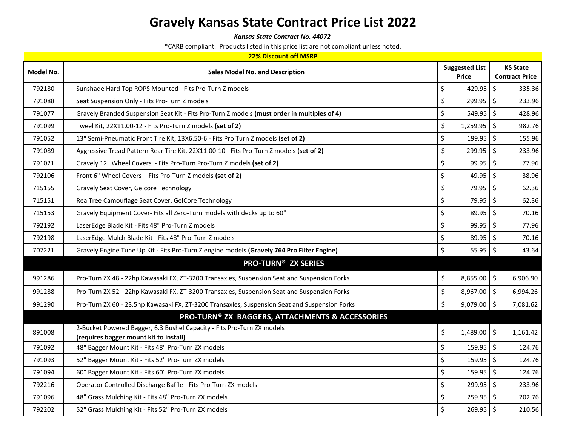*Kansas State Contract No. 44072*

| <b>22% Discount off MSRP</b> |  |                                                                                                                  |         |                       |    |                       |  |
|------------------------------|--|------------------------------------------------------------------------------------------------------------------|---------|-----------------------|----|-----------------------|--|
| Model No.                    |  | <b>Sales Model No. and Description</b>                                                                           |         | <b>Suggested List</b> |    | <b>KS State</b>       |  |
|                              |  |                                                                                                                  |         | <b>Price</b>          |    | <b>Contract Price</b> |  |
| 792180                       |  | Sunshade Hard Top ROPS Mounted - Fits Pro-Turn Z models                                                          | \$      | 429.95                | \$ | 335.36                |  |
| 791088                       |  | Seat Suspension Only - Fits Pro-Turn Z models                                                                    | \$      | 299.95                | \$ | 233.96                |  |
| 791077                       |  | Gravely Branded Suspension Seat Kit - Fits Pro-Turn Z models (must order in multiples of 4)                      | \$      | $549.95$ \$           |    | 428.96                |  |
| 791099                       |  | Tweel Kit, 22X11.00-12 - Fits Pro-Turn Z models <b>(set of 2)</b>                                                | \$      | $1,259.95$ \$         |    | 982.76                |  |
| 791052                       |  | 13" Semi-Pneumatic Front Tire Kit, 13X6.50-6 - Fits Pro Turn Z models (set of 2)                                 | \$      | $199.95$ \$           |    | 155.96                |  |
| 791089                       |  | Aggressive Tread Pattern Rear Tire Kit, 22X11.00-10 - Fits Pro-Turn Z models (set of 2)                          | \$      | 299.95                | \$ | 233.96                |  |
| 791021                       |  | Gravely 12" Wheel Covers - Fits Pro-Turn Pro-Turn Z models (set of 2)                                            | \$      | $99.95$ \$            |    | 77.96                 |  |
| 792106                       |  | Front 6" Wheel Covers - Fits Pro-Turn Z models (set of 2)                                                        | \$      | 49.95                 | \$ | 38.96                 |  |
| 715155                       |  | Gravely Seat Cover, Gelcore Technology                                                                           | \$      | 79.95 \$              |    | 62.36                 |  |
| 715151                       |  | RealTree Camouflage Seat Cover, GelCore Technology                                                               | \$      | 79.95                 | \$ | 62.36                 |  |
| 715153                       |  | Gravely Equipment Cover- Fits all Zero-Turn models with decks up to 60"                                          | \$      | 89.95                 | \$ | 70.16                 |  |
| 792192                       |  | LaserEdge Blade Kit - Fits 48" Pro-Turn Z models                                                                 | $\zeta$ | 99.95                 | \$ | 77.96                 |  |
| 792198                       |  | LaserEdge Mulch Blade Kit - Fits 48" Pro-Turn Z models                                                           | \$      | 89.95                 | \$ | 70.16                 |  |
| 707221                       |  | Gravely Engine Tune Up Kit - Fits Pro-Turn Z engine models (Gravely 764 Pro Filter Engine)                       | \$      | $55.95$ \$            |    | 43.64                 |  |
|                              |  | <b>PRO-TURN® ZX SERIES</b>                                                                                       |         |                       |    |                       |  |
| 991286                       |  | Pro-Turn ZX 48 - 22hp Kawasaki FX, ZT-3200 Transaxles, Suspension Seat and Suspension Forks                      | \$      | 8,855.00 \$           |    | 6,906.90              |  |
| 991288                       |  | Pro-Turn ZX 52 - 22hp Kawasaki FX, ZT-3200 Transaxles, Suspension Seat and Suspension Forks                      | \$      | 8,967.00 \$           |    | 6,994.26              |  |
| 991290                       |  | Pro-Turn ZX 60 - 23.5hp Kawasaki FX, ZT-3200 Transaxles, Suspension Seat and Suspension Forks                    | \$      | $9,079.00$ \$         |    | 7,081.62              |  |
|                              |  | PRO-TURN® ZX BAGGERS, ATTACHMENTS & ACCESSORIES                                                                  |         |                       |    |                       |  |
| 891008                       |  | 2-Bucket Powered Bagger, 6.3 Bushel Capacity - Fits Pro-Turn ZX models<br>(requires bagger mount kit to install) | \$      | $1,489.00$ \$         |    | 1,161.42              |  |
| 791092                       |  | 48" Bagger Mount Kit - Fits 48" Pro-Turn ZX models                                                               | $\zeta$ | 159.95 \$             |    | 124.76                |  |
| 791093                       |  | 52" Bagger Mount Kit - Fits 52" Pro-Turn ZX models                                                               | \$      | $159.95$ \$           |    | 124.76                |  |
| 791094                       |  | 60" Bagger Mount Kit - Fits 60" Pro-Turn ZX models                                                               | \$      | $159.95$ \$           |    | 124.76                |  |
| 792216                       |  | Operator Controlled Discharge Baffle - Fits Pro-Turn ZX models                                                   | \$      | $299.95$ \$           |    | 233.96                |  |
| 791096                       |  | 48" Grass Mulching Kit - Fits 48" Pro-Turn ZX models                                                             | \$      | $259.95$ \$           |    | 202.76                |  |
| 792202                       |  | 52" Grass Mulching Kit - Fits 52" Pro-Turn ZX models                                                             | $\zeta$ | $269.95$ \$           |    | 210.56                |  |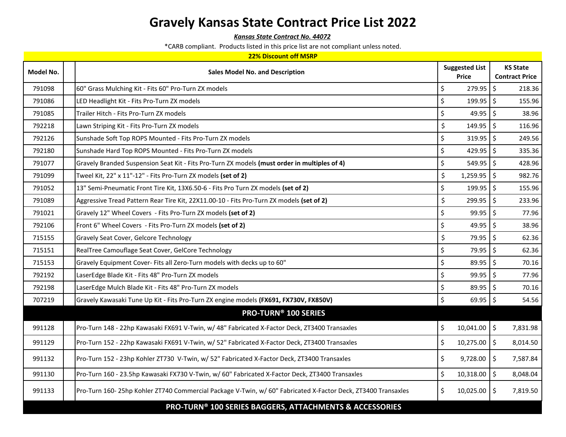*Kansas State Contract No. 44072*

\*CARB compliant. Products listed in this price list are not compliant unless noted.

#### **22% Discount off MSRP**

| Model No. | <b>Sales Model No. and Description</b>                                                                       | <b>Suggested List</b><br><b>Price</b> | <b>KS State</b><br><b>Contract Price</b> |
|-----------|--------------------------------------------------------------------------------------------------------------|---------------------------------------|------------------------------------------|
| 791098    | 60" Grass Mulching Kit - Fits 60" Pro-Turn ZX models                                                         | \$<br>$279.95$ \$                     | 218.36                                   |
| 791086    | LED Headlight Kit - Fits Pro-Turn ZX models                                                                  | \$<br>$199.95$ \ \$                   | 155.96                                   |
| 791085    | Trailer Hitch - Fits Pro-Turn ZX models                                                                      | \$<br>$49.95$ \$                      | 38.96                                    |
| 792218    | Lawn Striping Kit - Fits Pro-Turn ZX models                                                                  | \$<br>$149.95$ \$                     | 116.96                                   |
| 792126    | Sunshade Soft Top ROPS Mounted - Fits Pro-Turn ZX models                                                     | \$<br>$319.95$ \$                     | 249.56                                   |
| 792180    | Sunshade Hard Top ROPS Mounted - Fits Pro-Turn ZX models                                                     | \$<br>$429.95$ \$                     | 335.36                                   |
| 791077    | Gravely Branded Suspension Seat Kit - Fits Pro-Turn ZX models (must order in multiples of 4)                 | \$<br>$549.95$ \$                     | 428.96                                   |
| 791099    | Tweel Kit, 22" x 11"-12" - Fits Pro-Turn ZX models (set of 2)                                                | \$<br>$1,259.95$ \$                   | 982.76                                   |
| 791052    | 13" Semi-Pneumatic Front Tire Kit, 13X6.50-6 - Fits Pro Turn ZX models (set of 2)                            | \$<br>$199.95$ \$                     | 155.96                                   |
| 791089    | Aggressive Tread Pattern Rear Tire Kit, 22X11.00-10 - Fits Pro-Turn ZX models (set of 2)                     | \$<br>299.95                          | \$<br>233.96                             |
| 791021    | Gravely 12" Wheel Covers - Fits Pro-Turn ZX models (set of 2)                                                | \$<br>$99.95$ \$                      | 77.96                                    |
| 792106    | Front 6" Wheel Covers - Fits Pro-Turn ZX models (set of 2)                                                   | \$<br>$49.95$ \$                      | 38.96                                    |
| 715155    | Gravely Seat Cover, Gelcore Technology                                                                       | \$<br>79.95 \$                        | 62.36                                    |
| 715151    | RealTree Camouflage Seat Cover, GelCore Technology                                                           | \$<br>79.95 \$                        | 62.36                                    |
| 715153    | Gravely Equipment Cover- Fits all Zero-Turn models with decks up to 60"                                      | \$<br>$89.95$ \$                      | 70.16                                    |
| 792192    | LaserEdge Blade Kit - Fits 48" Pro-Turn ZX models                                                            | \$<br>$99.95$ \$                      | 77.96                                    |
| 792198    | LaserEdge Mulch Blade Kit - Fits 48" Pro-Turn ZX models                                                      | \$<br>$89.95$ \$                      | 70.16                                    |
| 707219    | Gravely Kawasaki Tune Up Kit - Fits Pro-Turn ZX engine models (FX691, FX730V, FX850V)                        | \$<br>$69.95$ \$                      | 54.56                                    |
|           | <b>PRO-TURN® 100 SERIES</b>                                                                                  |                                       |                                          |
| 991128    | Pro-Turn 148 - 22hp Kawasaki FX691 V-Twin, w/ 48" Fabricated X-Factor Deck, ZT3400 Transaxles                | \$<br>$10,041.00$ \$                  | 7,831.98                                 |
| 991129    | Pro-Turn 152 - 22hp Kawasaki FX691 V-Twin, w/ 52" Fabricated X-Factor Deck, ZT3400 Transaxles                | \$<br>$10,275.00$ \$                  | 8,014.50                                 |
| 991132    | Pro-Turn 152 - 23hp Kohler ZT730 V-Twin, w/ 52" Fabricated X-Factor Deck, ZT3400 Transaxles                  | \$<br>$9,728.00$ \$                   | 7,587.84                                 |
| 991130    | Pro-Turn 160 - 23.5hp Kawasaki FX730 V-Twin, w/ 60" Fabricated X-Factor Deck, ZT3400 Transaxles              | \$<br>$10,318.00$ \$                  | 8,048.04                                 |
| 991133    | Pro-Turn 160-25hp Kohler ZT740 Commercial Package V-Twin, w/ 60" Fabricated X-Factor Deck, ZT3400 Transaxles | \$<br>$10,025.00$ \$                  | 7,819.50                                 |
|           | PRO-TURN <sup>®</sup> 100 SERIES BAGGERS, ATTACHMENTS & ACCESSORIES                                          |                                       |                                          |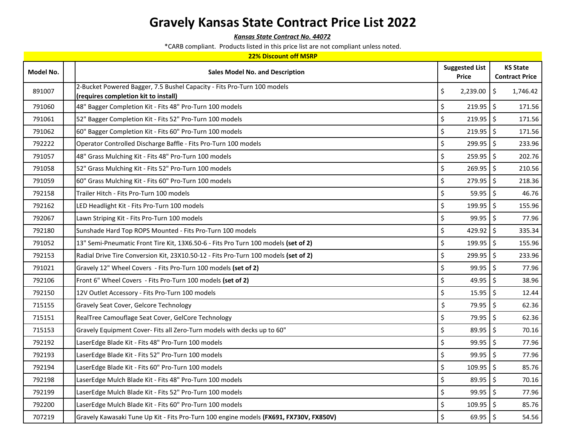*Kansas State Contract No. 44072*

|  | 22% Discount off MSRP |  |  |  |
|--|-----------------------|--|--|--|
|--|-----------------------|--|--|--|

| Model No. | <b>Sales Model No. and Description</b>                                                                          | <b>Suggested List</b><br><b>Price</b> | <b>KS State</b><br><b>Contract Price</b> |
|-----------|-----------------------------------------------------------------------------------------------------------------|---------------------------------------|------------------------------------------|
| 891007    | 2-Bucket Powered Bagger, 7.5 Bushel Capacity - Fits Pro-Turn 100 models<br>(requires completion kit to install) | \$<br>$2,239.00$ \$                   | 1,746.42                                 |
| 791060    | 48" Bagger Completion Kit - Fits 48" Pro-Turn 100 models                                                        | \$<br>$219.95$ \$                     | 171.56                                   |
| 791061    | 52" Bagger Completion Kit - Fits 52" Pro-Turn 100 models                                                        | \$<br>$219.95$ \$                     | 171.56                                   |
| 791062    | 60" Bagger Completion Kit - Fits 60" Pro-Turn 100 models                                                        | \$<br>$219.95$ \$                     | 171.56                                   |
| 792222    | Operator Controlled Discharge Baffle - Fits Pro-Turn 100 models                                                 | \$<br>$299.95$ \$                     | 233.96                                   |
| 791057    | 48" Grass Mulching Kit - Fits 48" Pro-Turn 100 models                                                           | \$<br>$259.95$ \$                     | 202.76                                   |
| 791058    | 52" Grass Mulching Kit - Fits 52" Pro-Turn 100 models                                                           | \$<br>$269.95$ \$                     | 210.56                                   |
| 791059    | 60" Grass Mulching Kit - Fits 60" Pro-Turn 100 models                                                           | \$<br>$279.95$ \$                     | 218.36                                   |
| 792158    | Trailer Hitch - Fits Pro-Turn 100 models                                                                        | \$<br>$59.95$ \$                      | 46.76                                    |
| 792162    | LED Headlight Kit - Fits Pro-Turn 100 models                                                                    | \$<br>$199.95$ \$                     | 155.96                                   |
| 792067    | Lawn Striping Kit - Fits Pro-Turn 100 models                                                                    | \$<br>$99.95$ \$                      | 77.96                                    |
| 792180    | Sunshade Hard Top ROPS Mounted - Fits Pro-Turn 100 models                                                       | \$<br>429.92   \$                     | 335.34                                   |
| 791052    | 13" Semi-Pneumatic Front Tire Kit, 13X6.50-6 - Fits Pro Turn 100 models (set of 2)                              | \$<br>$199.95$ \$                     | 155.96                                   |
| 792153    | Radial Drive Tire Conversion Kit, 23X10.50-12 - Fits Pro-Turn 100 models (set of 2)                             | \$<br>$299.95$ \$                     | 233.96                                   |
| 791021    | Gravely 12" Wheel Covers - Fits Pro-Turn 100 models (set of 2)                                                  | \$<br>$99.95$ \$                      | 77.96                                    |
| 792106    | Front 6" Wheel Covers - Fits Pro-Turn 100 models (set of 2)                                                     | \$<br>49.95 $\frac{1}{5}$             | 38.96                                    |
| 792150    | 12V Outlet Accessory - Fits Pro-Turn 100 models                                                                 | \$<br>$15.95$ \$                      | 12.44                                    |
| 715155    | Gravely Seat Cover, Gelcore Technology                                                                          | \$<br>79.95                           | $\boldsymbol{\zeta}$<br>62.36            |
| 715151    | RealTree Camouflage Seat Cover, GelCore Technology                                                              | 79.95 \$<br>\$                        | 62.36                                    |
| 715153    | Gravely Equipment Cover- Fits all Zero-Turn models with decks up to 60"                                         | \$<br>89.95                           | \$<br>70.16                              |
| 792192    | LaserEdge Blade Kit - Fits 48" Pro-Turn 100 models                                                              | \$<br>$99.95$ \$                      | 77.96                                    |
| 792193    | LaserEdge Blade Kit - Fits 52" Pro-Turn 100 models                                                              | \$<br>$99.95$ \$                      | 77.96                                    |
| 792194    | LaserEdge Blade Kit - Fits 60" Pro-Turn 100 models                                                              | \$<br>$109.95$ \$                     | 85.76                                    |
| 792198    | LaserEdge Mulch Blade Kit - Fits 48" Pro-Turn 100 models                                                        | \$<br>$89.95$ \$                      | 70.16                                    |
| 792199    | LaserEdge Mulch Blade Kit - Fits 52" Pro-Turn 100 models                                                        | \$<br>$99.95$ \$                      | 77.96                                    |
| 792200    | LaserEdge Mulch Blade Kit - Fits 60" Pro-Turn 100 models                                                        | \$<br>$109.95$ \$                     | 85.76                                    |
| 707219    | Gravely Kawasaki Tune Up Kit - Fits Pro-Turn 100 engine models (FX691, FX730V, FX850V)                          | \$<br>$69.95$ \$                      | 54.56                                    |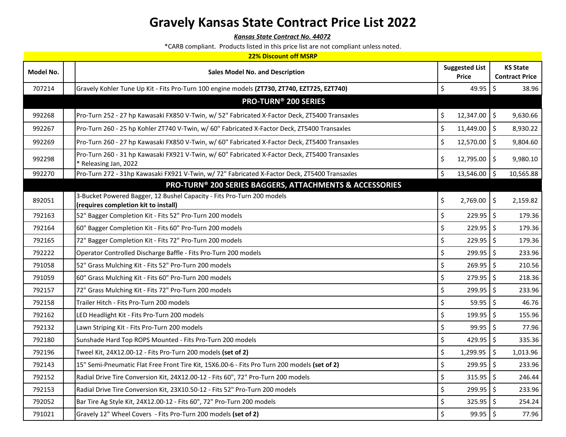*Kansas State Contract No. 44072*

|           | <b>22% Discount off MSRP</b>                                                                                          |    |                       |                          |                       |  |  |
|-----------|-----------------------------------------------------------------------------------------------------------------------|----|-----------------------|--------------------------|-----------------------|--|--|
| Model No. |                                                                                                                       |    | <b>Suggested List</b> |                          | <b>KS State</b>       |  |  |
|           | <b>Sales Model No. and Description</b>                                                                                |    | <b>Price</b>          |                          | <b>Contract Price</b> |  |  |
| 707214    | Gravely Kohler Tune Up Kit - Fits Pro-Turn 100 engine models (ZT730, ZT740, EZT725, EZT740)                           | \$ | 49.95                 | $\frac{1}{2}$            | 38.96                 |  |  |
|           | <b>PRO-TURN® 200 SERIES</b>                                                                                           |    |                       |                          |                       |  |  |
| 992268    | Pro-Turn 252 - 27 hp Kawasaki FX850 V-Twin, w/ 52" Fabricated X-Factor Deck, ZT5400 Transaxles                        | \$ | 12,347.00             | $\overline{\phantom{a}}$ | 9,630.66              |  |  |
| 992267    | Pro-Turn 260 - 25 hp Kohler ZT740 V-Twin, w/ 60" Fabricated X-Factor Deck, ZT5400 Transaxles                          | \$ | 11,449.00             | \$                       | 8,930.22              |  |  |
| 992269    | Pro-Turn 260 - 27 hp Kawasaki FX850 V-Twin, w/ 60" Fabricated X-Factor Deck, ZT5400 Transaxles                        | \$ | 12,570.00             | $\overline{\mathsf{S}}$  | 9,804.60              |  |  |
| 992298    | Pro-Turn 260 - 31 hp Kawasaki FX921 V-Twin, w/ 60" Fabricated X-Factor Deck, ZT5400 Transaxles<br>Releasing Jan, 2022 | \$ | 12,795.00             | l\$                      | 9,980.10              |  |  |
| 992270    | Pro-Turn 272 - 31hp Kawasaki FX921 V-Twin, w/ 72" Fabricated X-Factor Deck, ZT5400 Transaxles                         | \$ | 13,546.00             | \$                       | 10,565.88             |  |  |
|           | PRO-TURN <sup>®</sup> 200 SERIES BAGGERS, ATTACHMENTS & ACCESSORIES                                                   |    |                       |                          |                       |  |  |
| 892051    | 3-Bucket Powered Bagger, 12 Bushel Capacity - Fits Pro-Turn 200 models<br>(requires completion kit to install)        | \$ | 2,769.00              | $\overline{\phantom{a}}$ | 2,159.82              |  |  |
| 792163    | 52" Bagger Completion Kit - Fits 52" Pro-Turn 200 models                                                              | \$ | 229.95                | \$                       | 179.36                |  |  |
| 792164    | 60" Bagger Completion Kit - Fits 60" Pro-Turn 200 models                                                              | \$ | 229.95                | $\zeta$                  | 179.36                |  |  |
| 792165    | 72" Bagger Completion Kit - Fits 72" Pro-Turn 200 models                                                              | \$ | 229.95                | \$                       | 179.36                |  |  |
| 792222    | Operator Controlled Discharge Baffle - Fits Pro-Turn 200 models                                                       | \$ | 299.95                | \$                       | 233.96                |  |  |
| 791058    | 52" Grass Mulching Kit - Fits 52" Pro-Turn 200 models                                                                 | \$ | $269.95$ \$           |                          | 210.56                |  |  |
| 791059    | 60" Grass Mulching Kit - Fits 60" Pro-Turn 200 models                                                                 | \$ | $279.95$ \$           |                          | 218.36                |  |  |
| 792157    | 72" Grass Mulching Kit - Fits 72" Pro-Turn 200 models                                                                 | \$ | 299.95                | \$                       | 233.96                |  |  |
| 792158    | Trailer Hitch - Fits Pro-Turn 200 models                                                                              | \$ | 59.95                 | \$                       | 46.76                 |  |  |
| 792162    | LED Headlight Kit - Fits Pro-Turn 200 models                                                                          | \$ | 199.95                | \$                       | 155.96                |  |  |
| 792132    | Lawn Striping Kit - Fits Pro-Turn 200 models                                                                          | \$ | 99.95                 | \$                       | 77.96                 |  |  |
| 792180    | Sunshade Hard Top ROPS Mounted - Fits Pro-Turn 200 models                                                             | \$ | 429.95                | \$                       | 335.36                |  |  |
| 792196    | Tweel Kit, 24X12.00-12 - Fits Pro-Turn 200 models (set of 2)                                                          | \$ | 1,299.95              | \$                       | 1,013.96              |  |  |
| 792143    | 15" Semi-Pneumatic Flat Free Front Tire Kit, 15X6.00-6 - Fits Pro Turn 200 models (set of 2)                          | \$ | 299.95                | $\mathsf{S}$             | 233.96                |  |  |
| 792152    | Radial Drive Tire Conversion Kit, 24X12.00-12 - Fits 60", 72" Pro-Turn 200 models                                     | \$ | 315.95                | $\ddot{\varsigma}$       | 246.44                |  |  |
| 792153    | Radial Drive Tire Conversion Kit, 23X10.50-12 - Fits 52" Pro-Turn 200 models                                          | \$ | 299.95                | \$                       | 233.96                |  |  |
| 792052    | Bar Tire Ag Style Kit, 24X12.00-12 - Fits 60", 72" Pro-Turn 200 models                                                | \$ | 325.95                | $\boldsymbol{\zeta}$     | 254.24                |  |  |
| 791021    | Gravely 12" Wheel Covers - Fits Pro-Turn 200 models (set of 2)                                                        | \$ | 99.95                 | l \$                     | 77.96                 |  |  |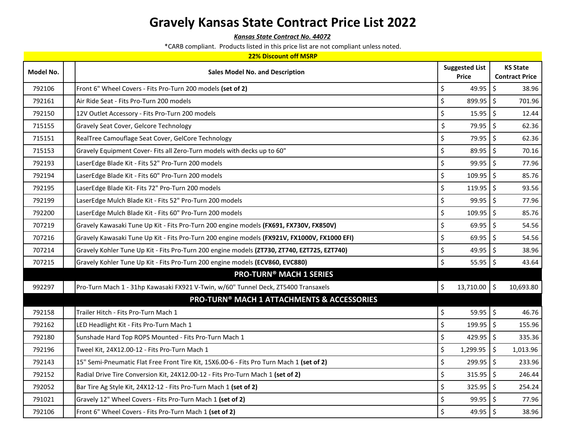*Kansas State Contract No. 44072*

|  | 22% Discount off MSRP |  |  |  |
|--|-----------------------|--|--|--|
|--|-----------------------|--|--|--|

| Model No. | <b>Sales Model No. and Description</b>                                                       | <b>Suggested List</b><br><b>Price</b> | <b>KS State</b><br><b>Contract Price</b> |
|-----------|----------------------------------------------------------------------------------------------|---------------------------------------|------------------------------------------|
| 792106    | Front 6" Wheel Covers - Fits Pro-Turn 200 models (set of 2)                                  | \$<br>$49.95$   \$                    | 38.96                                    |
| 792161    | Air Ride Seat - Fits Pro-Turn 200 models                                                     | \$<br>899.95                          | $\zeta$<br>701.96                        |
| 792150    | 12V Outlet Accessory - Fits Pro-Turn 200 models                                              | \$<br>$15.95$ \$                      | 12.44                                    |
| 715155    | Gravely Seat Cover, Gelcore Technology                                                       | \$<br>79.95 \$                        | 62.36                                    |
| 715151    | RealTree Camouflage Seat Cover, GelCore Technology                                           | \$<br>79.95 \$                        | 62.36                                    |
| 715153    | Gravely Equipment Cover- Fits all Zero-Turn models with decks up to 60"                      | \$<br>89.95                           | $\zeta$<br>70.16                         |
| 792193    | LaserEdge Blade Kit - Fits 52" Pro-Turn 200 models                                           | \$<br>99.95                           | $\zeta$<br>77.96                         |
| 792194    | LaserEdge Blade Kit - Fits 60" Pro-Turn 200 models                                           | \$<br>$109.95$ \$                     | 85.76                                    |
| 792195    | LaserEdge Blade Kit- Fits 72" Pro-Turn 200 models                                            | $\zeta$<br>119.95                     | $\zeta$<br>93.56                         |
| 792199    | LaserEdge Mulch Blade Kit - Fits 52" Pro-Turn 200 models                                     | \$<br>$99.95$ \$                      | 77.96                                    |
| 792200    | LaserEdge Mulch Blade Kit - Fits 60" Pro-Turn 200 models                                     | \$<br>$109.95$ \$                     | 85.76                                    |
| 707219    | Gravely Kawasaki Tune Up Kit - Fits Pro-Turn 200 engine models (FX691, FX730V, FX850V)       | \$<br>69.95                           | $\zeta$<br>54.56                         |
| 707216    | Gravely Kawasaki Tune Up Kit - Fits Pro-Turn 200 engine models (FX921V, FX1000V, FX1000 EFI) | \$<br>69.95                           | $\zeta$<br>54.56                         |
| 707214    | Gravely Kohler Tune Up Kit - Fits Pro-Turn 200 engine models (ZT730, ZT740, EZT725, EZT740)  | $\zeta$<br>49.95 $\frac{1}{5}$        | 38.96                                    |
| 707215    | Gravely Kohler Tune Up Kit - Fits Pro-Turn 200 engine models (ECV860, EVC880)                | \$<br>$55.95$ \$                      | 43.64                                    |
|           | <b>PRO-TURN® MACH 1 SERIES</b>                                                               |                                       |                                          |
| 992297    | Pro-Turn Mach 1 - 31hp Kawasaki FX921 V-Twin, w/60" Tunnel Deck, ZT5400 Transaxels           | \$<br>$13,710.00$ \$                  | 10,693.80                                |
|           | <b>PRO-TURN® MACH 1 ATTACHMENTS &amp; ACCESSORIES</b>                                        |                                       |                                          |
| 792158    | Trailer Hitch - Fits Pro-Turn Mach 1                                                         | \$<br>$59.95$ \$                      | 46.76                                    |
| 792162    | LED Headlight Kit - Fits Pro-Turn Mach 1                                                     | $\zeta$<br>$199.95$ \$                | 155.96                                   |
| 792180    | Sunshade Hard Top ROPS Mounted - Fits Pro-Turn Mach 1                                        | \$<br>429.95 $\frac{1}{2}$            | 335.36                                   |
| 792196    | Tweel Kit, 24X12.00-12 - Fits Pro-Turn Mach 1                                                | \$<br>$1,299.95$ \$                   | 1,013.96                                 |
| 792143    | 15" Semi-Pneumatic Flat Free Front Tire Kit, 15X6.00-6 - Fits Pro Turn Mach 1 (set of 2)     | \$<br>$299.95$ \$                     | 233.96                                   |
| 792152    | Radial Drive Tire Conversion Kit, 24X12.00-12 - Fits Pro-Turn Mach 1 (set of 2)              | \$<br>$315.95$ \$                     | 246.44                                   |
| 792052    | Bar Tire Ag Style Kit, 24X12-12 - Fits Pro-Turn Mach 1 (set of 2)                            | \$<br>$325.95$ \$                     | 254.24                                   |
| 791021    | Gravely 12" Wheel Covers - Fits Pro-Turn Mach 1 (set of 2)                                   | \$<br>99.95                           | \$<br>77.96                              |
| 792106    | Front 6" Wheel Covers - Fits Pro-Turn Mach 1 (set of 2)                                      | \$<br>$49.95$ \$                      | 38.96                                    |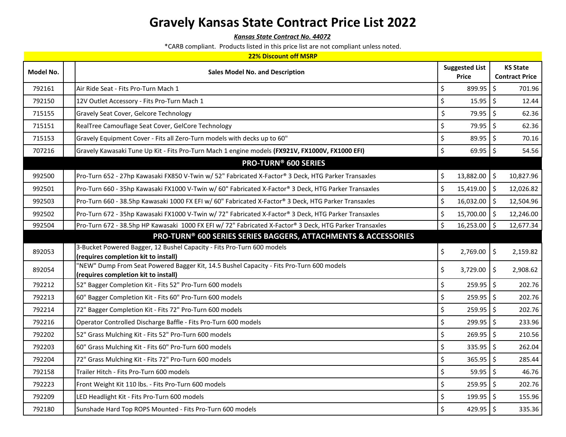*Kansas State Contract No. 44072*

\*CARB compliant. Products listed in this price list are not compliant unless noted.

#### **22% Discount off MSRP**

| Model No. | <b>Sales Model No. and Description</b>                                                                         | <b>Suggested List</b><br>Price |                      | <b>KS State</b><br><b>Contract Price</b> |
|-----------|----------------------------------------------------------------------------------------------------------------|--------------------------------|----------------------|------------------------------------------|
| 792161    | Air Ride Seat - Fits Pro-Turn Mach 1                                                                           | \$<br>$899.95$ \$              |                      | 701.96                                   |
| 792150    | 12V Outlet Accessory - Fits Pro-Turn Mach 1                                                                    | \$<br>$15.95$ \$               |                      | 12.44                                    |
| 715155    | Gravely Seat Cover, Gelcore Technology                                                                         | \$<br>79.95 \$                 |                      | 62.36                                    |
| 715151    | RealTree Camouflage Seat Cover, GelCore Technology                                                             | \$<br>79.95 \$                 |                      | 62.36                                    |
| 715153    | Gravely Equipment Cover - Fits all Zero-Turn models with decks up to 60"                                       | \$<br>89.95                    | $\boldsymbol{\zeta}$ | 70.16                                    |
| 707216    | Gravely Kawasaki Tune Up Kit - Fits Pro-Turn Mach 1 engine models (FX921V, FX1000V, FX1000 EFI)                | \$<br>$69.95$ \$               |                      | 54.56                                    |
|           | <b>PRO-TURN® 600 SERIES</b>                                                                                    |                                |                      |                                          |
| 992500    | Pro-Turn 652 - 27hp Kawasaki FX850 V-Twin w/ 52" Fabricated X-Factor® 3 Deck, HTG Parker Transaxles            | \$<br>13,882.00 \$             |                      | 10,827.96                                |
| 992501    | Pro-Turn 660 - 35hp Kawasaki FX1000 V-Twin w/ 60" Fabricated X-Factor® 3 Deck, HTG Parker Transaxles           | \$<br>$15,419.00$ \$           |                      | 12,026.82                                |
| 992503    | Pro-Turn 660 - 38.5hp Kawasaki 1000 FX EFI w/ 60" Fabricated X-Factor® 3 Deck, HTG Parker Transaxles           | \$<br>$16,032.00$ \$           |                      | 12,504.96                                |
| 992502    | Pro-Turn 672 - 35hp Kawasaki FX1000 V-Twin w/ 72" Fabricated X-Factor® 3 Deck, HTG Parker Transaxles           | \$<br>15,700.00 \$             |                      | 12,246.00                                |
| 992504    | Pro-Turn 672 - 38.5hp HP Kawasaki 1000 FX EFI w/ 72" Fabricated X-Factor® 3 Deck, HTG Parker Transaxles        | \$<br>$16,253.00$ \$           |                      | 12,677.34                                |
|           | <b>PRO-TURN® 600 SERIES SERIES BAGGERS, ATTACHMENTS &amp; ACCESSORIES</b>                                      |                                |                      |                                          |
| 892053    | 3-Bucket Powered Bagger, 12 Bushel Capacity - Fits Pro-Turn 600 models<br>(requires completion kit to install) | \$<br>$2,769.00$ \$            |                      | 2,159.82                                 |
| 892054    | 'NEW" Dump From Seat Powered Bagger Kit, 14.5 Bushel Capacity - Fits Pro-Turn 600 models                       | \$<br>$3,729.00$ \$            |                      | 2,908.62                                 |
| 792212    | (requires completion kit to install)<br>52" Bagger Completion Kit - Fits 52" Pro-Turn 600 models               | \$<br>$259.95$ \$              |                      | 202.76                                   |
| 792213    | 60" Bagger Completion Kit - Fits 60" Pro-Turn 600 models                                                       | \$<br>$259.95$ \$              |                      | 202.76                                   |
| 792214    | 72" Bagger Completion Kit - Fits 72" Pro-Turn 600 models                                                       | \$<br>$259.95$ \$              |                      | 202.76                                   |
| 792216    | Operator Controlled Discharge Baffle - Fits Pro-Turn 600 models                                                | \$<br>299.95 \$                |                      | 233.96                                   |
| 792202    | 52" Grass Mulching Kit - Fits 52" Pro-Turn 600 models                                                          | \$<br>$269.95$ \$              |                      | 210.56                                   |
| 792203    | 60" Grass Mulching Kit - Fits 60" Pro-Turn 600 models                                                          | \$<br>$335.95$ \$              |                      | 262.04                                   |
| 792204    | 72" Grass Mulching Kit - Fits 72" Pro-Turn 600 models                                                          | \$<br>$365.95$ \$              |                      | 285.44                                   |
| 792158    | Trailer Hitch - Fits Pro-Turn 600 models                                                                       | \$<br>$59.95$ \$               |                      | 46.76                                    |
| 792223    | Front Weight Kit 110 lbs. - Fits Pro-Turn 600 models                                                           | \$<br>$259.95$ \$              |                      | 202.76                                   |
| 792209    | LED Headlight Kit - Fits Pro-Turn 600 models                                                                   | \$<br>$199.95$ \$              |                      | 155.96                                   |
| 792180    | Sunshade Hard Top ROPS Mounted - Fits Pro-Turn 600 models                                                      | \$<br>429.95 $\frac{1}{2}$     |                      | 335.36                                   |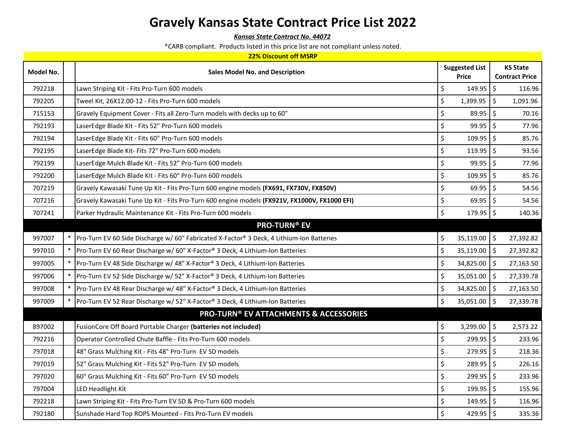*Kansas State Contract No. 44072*

|  | 22% Discount off MSRP |  |  |  |
|--|-----------------------|--|--|--|
|--|-----------------------|--|--|--|

| Model No. |        | <b>Sales Model No. and Description</b>                                                       |         | <b>Suggested List</b><br>Price |                      | <b>KS State</b><br><b>Contract Price</b> |
|-----------|--------|----------------------------------------------------------------------------------------------|---------|--------------------------------|----------------------|------------------------------------------|
| 792218    |        | Lawn Striping Kit - Fits Pro-Turn 600 models                                                 | \$      | $149.95$ \$                    |                      | 116.96                                   |
| 792205    |        | Tweel Kit, 26X12.00-12 - Fits Pro-Turn 600 models                                            | \$      | 1,399.95                       | $\boldsymbol{\zeta}$ | 1,091.96                                 |
| 715153    |        | Gravely Equipment Cover - Fits all Zero-Turn models with decks up to 60"                     | \$      | 89.95                          | $\mathsf{\hat{S}}$   | 70.16                                    |
| 792193    |        | LaserEdge Blade Kit - Fits 52" Pro-Turn 600 models                                           | \$      | $99.95$ \$                     |                      | 77.96                                    |
| 792194    |        | LaserEdge Blade Kit - Fits 60" Pro-Turn 600 models                                           | \$      | $109.95$ \$                    |                      | 85.76                                    |
| 792195    |        | LaserEdge Blade Kit- Fits 72" Pro-Turn 600 models                                            | \$      | $119.95$ \$                    |                      | 93.56                                    |
| 792199    |        | LaserEdge Mulch Blade Kit - Fits 52" Pro-Turn 600 models                                     | \$      | $99.95$ \$                     |                      | 77.96                                    |
| 792200    |        | LaserEdge Mulch Blade Kit - Fits 60" Pro-Turn 600 models                                     | \$      | $109.95$ \$                    |                      | 85.76                                    |
| 707219    |        | Gravely Kawasaki Tune Up Kit - Fits Pro-Turn 600 engine models (FX691, FX730V, FX850V)       | $\zeta$ | 69.95                          | \$                   | 54.56                                    |
| 707216    |        | Gravely Kawasaki Tune Up Kit - Fits Pro-Turn 600 engine models (FX921V, FX1000V, FX1000 EFI) | $\zeta$ | $69.95$ \$                     |                      | 54.56                                    |
| 707241    |        | Parker Hydraulic Maintenance Kit - Fits Pro-Turn 600 models                                  | $\zeta$ | $179.95$ \$                    |                      | 140.36                                   |
|           |        | <b>PRO-TURN® EV</b>                                                                          |         |                                |                      |                                          |
| 997007    |        | Pro-Turn EV 60 Side Discharge w/ 60" Fabricated X-Factor® 3 Deck, 4 Lithium-Ion Batteries    | \$      | $35,119.00$ \$                 |                      | 27,392.82                                |
| 997010    | $\ast$ | Pro-Turn EV 60 Rear Discharge w/ 60" X-Factor® 3 Deck, 4 Lithium-Ion Batteries               | $\zeta$ | $35,119.00$ \$                 |                      | 27,392.82                                |
| 997005    |        | Pro-Turn EV 48 Side Discharge w/ 48" X-Factor® 3 Deck, 4 Lithium-Ion Batteries               | \$      | $34,825.00$ \$                 |                      | 27,163.50                                |
| 997006    |        | Pro-Turn EV 52 Side Discharge w/ 52" X-Factor® 3 Deck, 4 Lithium-Ion Batteries               | \$      | $35,051.00$ \$                 |                      | 27,339.78                                |
| 997008    |        | Pro-Turn EV 48 Rear Discharge w/ 48" X-Factor® 3 Deck, 4 Lithium-Ion Batteries               | $\zeta$ | 34,825.00                      | \$                   | 27,163.50                                |
| 997009    |        | Pro-Turn EV 52 Rear Discharge w/ 52" X-Factor® 3 Deck, 4 Lithium-Ion Batteries               | \$      | 35,051.00                      | \$                   | 27,339.78                                |
|           |        | <b>PRO-TURN® EV ATTACHMENTS &amp; ACCESSORIES</b>                                            |         |                                |                      |                                          |
| 897002    |        | FusionCore Off Board Portable Charger (batteries not included)                               | \$      | $3,299.00$ \$                  |                      | 2,573.22                                 |
| 792216    |        | Operator Controlled Chute Baffle - Fits Pro-Turn 600 models                                  | $\zeta$ | $299.95$ \$                    |                      | 233.96                                   |
| 797018    |        | 48" Grass Mulching Kit - Fits 48" Pro-Turn EV SD models                                      | \$      | $279.95$ \$                    |                      | 218.36                                   |
| 797019    |        | 52" Grass Mulching Kit - Fits 52" Pro-Turn EV SD models                                      | \$      | $289.95$ \$                    |                      | 226.16                                   |
| 797020    |        | 60" Grass Mulching Kit - Fits 60" Pro-Turn EV SD models                                      | \$      | $299.95$ \$                    |                      | 233.96                                   |
| 797004    |        | LED Headlight Kit                                                                            | \$      | $199.95$ \$                    |                      | 155.96                                   |
| 792218    |        | Lawn Striping Kit - Fits Pro-Turn EV SD & Pro-Turn 600 models                                | $\zeta$ | 149.95                         | $\zeta$              | 116.96                                   |
| 792180    |        | Sunshade Hard Top ROPS Mounted - Fits Pro-Turn EV models                                     | $\zeta$ | 429.95 $\frac{1}{5}$           |                      | 335.36                                   |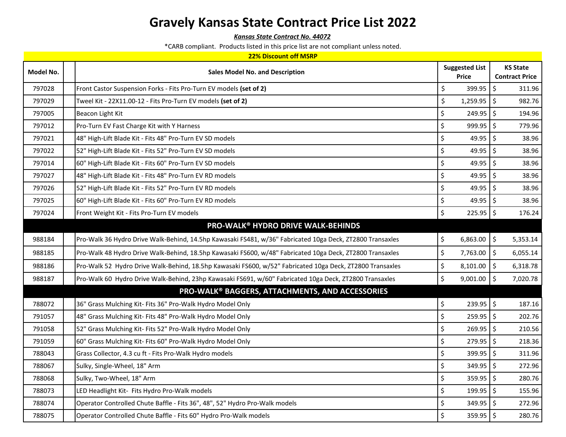*Kansas State Contract No. 44072*

| <b>22% Discount off MSRP</b> |                                                                                                           |                                       |                                          |  |  |  |
|------------------------------|-----------------------------------------------------------------------------------------------------------|---------------------------------------|------------------------------------------|--|--|--|
| Model No.                    | <b>Sales Model No. and Description</b>                                                                    | <b>Suggested List</b><br><b>Price</b> | <b>KS State</b><br><b>Contract Price</b> |  |  |  |
| 797028                       | Front Castor Suspension Forks - Fits Pro-Turn EV models (set of 2)                                        | \$<br>399.95                          | $\zeta$<br>311.96                        |  |  |  |
| 797029                       | Tweel Kit - 22X11.00-12 - Fits Pro-Turn EV models (set of 2)                                              | \$<br>$1,259.95$ \$                   | 982.76                                   |  |  |  |
| 797005                       | Beacon Light Kit                                                                                          | \$<br>$249.95$ \$                     | 194.96                                   |  |  |  |
| 797012                       | Pro-Turn EV Fast Charge Kit with Y Harness                                                                | \$<br>$999.95$ \$                     | 779.96                                   |  |  |  |
| 797021                       | 48" High-Lift Blade Kit - Fits 48" Pro-Turn EV SD models                                                  | \$<br>$49.95$ \$                      | 38.96                                    |  |  |  |
| 797022                       | 52" High-Lift Blade Kit - Fits 52" Pro-Turn EV SD models                                                  | \$<br>49.95                           | $\mathsf{\dot{S}}$<br>38.96              |  |  |  |
| 797014                       | 60" High-Lift Blade Kit - Fits 60" Pro-Turn EV SD models                                                  | \$<br>49.95                           | \$<br>38.96                              |  |  |  |
| 797027                       | 48" High-Lift Blade Kit - Fits 48" Pro-Turn EV RD models                                                  | \$<br>49.95                           | $\zeta$<br>38.96                         |  |  |  |
| 797026                       | 52" High-Lift Blade Kit - Fits 52" Pro-Turn EV RD models                                                  | \$<br>49.95                           | $\zeta$<br>38.96                         |  |  |  |
| 797025                       | 60" High-Lift Blade Kit - Fits 60" Pro-Turn EV RD models                                                  | \$<br>49.95                           | $\mathsf{\hat{S}}$<br>38.96              |  |  |  |
| 797024                       | Front Weight Kit - Fits Pro-Turn EV models                                                                | \$<br>$225.95$ \$                     | 176.24                                   |  |  |  |
|                              | <b>PRO-WALK® HYDRO DRIVE WALK-BEHINDS</b>                                                                 |                                       |                                          |  |  |  |
| 988184                       | Pro-Walk 36 Hydro Drive Walk-Behind, 14.5hp Kawasaki FS481, w/36" Fabricated 10ga Deck, ZT2800 Transaxles | \$<br>6,863.00                        | \$<br>5,353.14                           |  |  |  |
| 988185                       | Pro-Walk 48 Hydro Drive Walk-Behind, 18.5hp Kawasaki FS600, w/48" Fabricated 10ga Deck, ZT2800 Transaxles | \$<br>7,763.00                        | \$<br>6,055.14                           |  |  |  |
| 988186                       | Pro-Walk 52 Hydro Drive Walk-Behind, 18.5hp Kawasaki FS600, w/52" Fabricated 10ga Deck, ZT2800 Transaxles | \$<br>8,101.00                        | $\zeta$<br>6,318.78                      |  |  |  |
| 988187                       | Pro-Walk 60 Hydro Drive Walk-Behind, 23hp Kawasaki FS691, w/60" Fabricated 10ga Deck, ZT2800 Transaxles   | \$<br>$9,001.00$ \$                   | 7,020.78                                 |  |  |  |
|                              | PRO-WALK® BAGGERS, ATTACHMENTS, AND ACCESSORIES                                                           |                                       |                                          |  |  |  |
| 788072                       | 36" Grass Mulching Kit- Fits 36" Pro-Walk Hydro Model Only                                                | \$<br>$239.95$ \$                     | 187.16                                   |  |  |  |
| 791057                       | 48" Grass Mulching Kit- Fits 48" Pro-Walk Hydro Model Only                                                | \$<br>$259.95$ \$                     | 202.76                                   |  |  |  |
| 791058                       | 52" Grass Mulching Kit- Fits 52" Pro-Walk Hydro Model Only                                                | \$<br>$269.95$ \$                     | 210.56                                   |  |  |  |
| 791059                       | 60" Grass Mulching Kit- Fits 60" Pro-Walk Hydro Model Only                                                | \$<br>279.95                          | $\zeta$<br>218.36                        |  |  |  |
| 788043                       | Grass Collector, 4.3 cu ft - Fits Pro-Walk Hydro models                                                   | \$<br>399.95                          | $\zeta$<br>311.96                        |  |  |  |
| 788067                       | Sulky, Single-Wheel, 18" Arm                                                                              | \$<br>349.95                          | $\zeta$<br>272.96                        |  |  |  |
| 788068                       | Sulky, Two-Wheel, 18" Arm                                                                                 | \$<br>359.95                          | $\zeta$<br>280.76                        |  |  |  |
| 788073                       | LED Headlight Kit- Fits Hydro Pro-Walk models                                                             | \$<br>199.95                          | \$<br>155.96                             |  |  |  |
| 788074                       | Operator Controlled Chute Baffle - Fits 36", 48", 52" Hydro Pro-Walk models                               | \$<br>349.95                          | $\mathsf{\hat{S}}$<br>272.96             |  |  |  |
| 788075                       | Operator Controlled Chute Baffle - Fits 60" Hydro Pro-Walk models                                         | \$<br>$359.95$ \$                     | 280.76                                   |  |  |  |
|                              |                                                                                                           |                                       |                                          |  |  |  |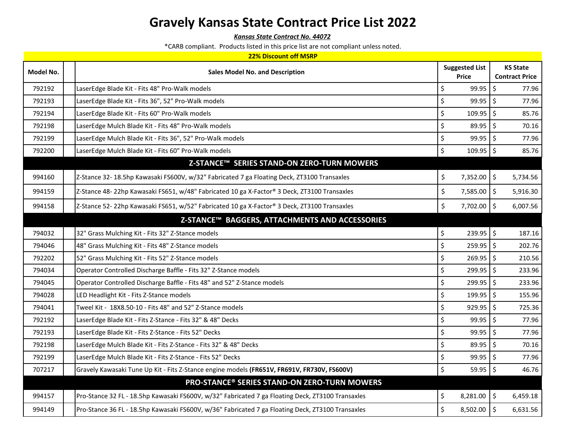*Kansas State Contract No. 44072*

| <b>22% Discount off MSRP</b> |                                        |                                                                                                   |                                               |                       |                 |  |
|------------------------------|----------------------------------------|---------------------------------------------------------------------------------------------------|-----------------------------------------------|-----------------------|-----------------|--|
| Model No.                    | <b>Sales Model No. and Description</b> |                                                                                                   | <b>Suggested List</b>                         |                       | <b>KS State</b> |  |
|                              |                                        | <b>Price</b>                                                                                      |                                               | <b>Contract Price</b> |                 |  |
| 792192                       |                                        | LaserEdge Blade Kit - Fits 48" Pro-Walk models                                                    | \$<br>$99.95$ \$                              |                       | 77.96           |  |
| 792193                       |                                        | LaserEdge Blade Kit - Fits 36", 52" Pro-Walk models                                               | $\zeta$<br>$99.95$ \$                         |                       | 77.96           |  |
| 792194                       |                                        | LaserEdge Blade Kit - Fits 60" Pro-Walk models                                                    | $\zeta$<br>$109.95$ \$                        |                       | 85.76           |  |
| 792198                       |                                        | LaserEdge Mulch Blade Kit - Fits 48" Pro-Walk models                                              | $\zeta$<br>$89.95$ \$                         |                       | 70.16           |  |
| 792199                       |                                        | LaserEdge Mulch Blade Kit - Fits 36", 52" Pro-Walk models                                         | \$<br>$99.95$ \$                              |                       | 77.96           |  |
| 792200                       |                                        | LaserEdge Mulch Blade Kit - Fits 60" Pro-Walk models                                              | $\boldsymbol{\dot{\varsigma}}$<br>$109.95$ \$ |                       | 85.76           |  |
|                              |                                        | Z-STANCE™ SERIES STAND-ON ZERO-TURN MOWERS                                                        |                                               |                       |                 |  |
| 994160                       |                                        | Z-Stance 32- 18.5hp Kawasaki FS600V, w/32" Fabricated 7 ga Floating Deck, ZT3100 Transaxles       | \$<br>$7,352.00$ \$                           |                       | 5,734.56        |  |
| 994159                       |                                        | Z-Stance 48-22hp Kawasaki FS651, w/48" Fabricated 10 ga X-Factor® 3 Deck, ZT3100 Transaxles       | \$<br>7,585.00 \$                             |                       | 5,916.30        |  |
| 994158                       |                                        | Z-Stance 52-22hp Kawasaki FS651, w/52" Fabricated 10 ga X-Factor® 3 Deck, ZT3100 Transaxles       | \$<br>7,702.00 \$                             |                       | 6,007.56        |  |
|                              |                                        | Z-STANCE™ BAGGERS, ATTACHMENTS AND ACCESSORIES                                                    |                                               |                       |                 |  |
| 794032                       |                                        | 32" Grass Mulching Kit - Fits 32" Z-Stance models                                                 | \$<br>$239.95$ \$                             |                       | 187.16          |  |
| 794046                       |                                        | 48" Grass Mulching Kit - Fits 48" Z-Stance models                                                 | \$<br>$259.95$ \$                             |                       | 202.76          |  |
| 792202                       |                                        | 52" Grass Mulching Kit - Fits 52" Z-Stance models                                                 | $\boldsymbol{\dot{\varsigma}}$<br>$269.95$ \$ |                       | 210.56          |  |
| 794034                       |                                        | Operator Controlled Discharge Baffle - Fits 32" Z-Stance models                                   | $\zeta$<br>$299.95$ \$                        |                       | 233.96          |  |
| 794045                       |                                        | Operator Controlled Discharge Baffle - Fits 48" and 52" Z-Stance models                           | $\zeta$<br>$299.95$ \$                        |                       | 233.96          |  |
| 794028                       |                                        | LED Headlight Kit - Fits Z-Stance models                                                          | $\zeta$<br>$199.95$ \$                        |                       | 155.96          |  |
| 794041                       |                                        | Tweel Kit - 18X8.50-10 - Fits 48" and 52" Z-Stance models                                         | \$<br>$929.95$ \$                             |                       | 725.36          |  |
| 792192                       |                                        | LaserEdge Blade Kit - Fits Z-Stance - Fits 32" & 48" Decks                                        | \$<br>$99.95$ \$                              |                       | 77.96           |  |
| 792193                       |                                        | LaserEdge Blade Kit - Fits Z-Stance - Fits 52" Decks                                              | $\zeta$<br>99.95                              | $\zeta$               | 77.96           |  |
| 792198                       |                                        | LaserEdge Mulch Blade Kit - Fits Z-Stance - Fits 32" & 48" Decks                                  | $\zeta$<br>$89.95$ \$                         |                       | 70.16           |  |
| 792199                       |                                        | LaserEdge Mulch Blade Kit - Fits Z-Stance - Fits 52" Decks                                        | $\zeta$<br>$99.95$ \$                         |                       | 77.96           |  |
| 707217                       |                                        | Gravely Kawasaki Tune Up Kit - Fits Z-Stance engine models (FR651V, FR691V, FR730V, FS600V)       | \$<br>$59.95$ \$                              |                       | 46.76           |  |
|                              |                                        | <b>PRO-STANCE® SERIES STAND-ON ZERO-TURN MOWERS</b>                                               |                                               |                       |                 |  |
| 994157                       |                                        | Pro-Stance 32 FL - 18.5hp Kawasaki FS600V, w/32" Fabricated 7 ga Floating Deck, ZT3100 Transaxles | \$<br>8,281.00                                | $\ddot{\phi}$         | 6,459.18        |  |
| 994149                       |                                        | Pro-Stance 36 FL - 18.5hp Kawasaki FS600V, w/36" Fabricated 7 ga Floating Deck, ZT3100 Transaxles | $\zeta$<br>$8,502.00$ \$                      |                       | 6,631.56        |  |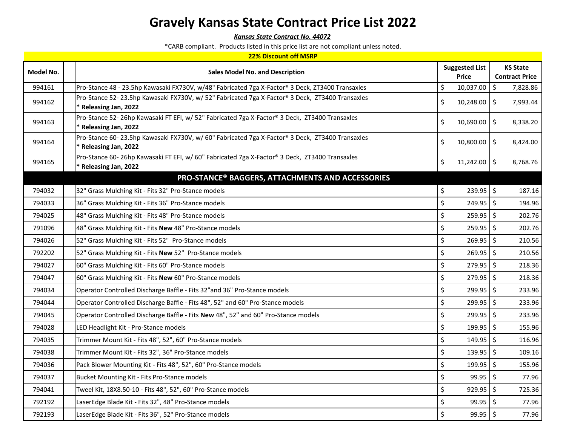*Kansas State Contract No. 44072*

| <b>22% Discount off MSRP</b> |                                                                                                                          |                                               |                                          |  |  |  |
|------------------------------|--------------------------------------------------------------------------------------------------------------------------|-----------------------------------------------|------------------------------------------|--|--|--|
| Model No.                    | <b>Sales Model No. and Description</b>                                                                                   | <b>Suggested List</b><br>Price                | <b>KS State</b><br><b>Contract Price</b> |  |  |  |
| 994161                       | Pro-Stance 48 - 23.5hp Kawasaki FX730V, w/48" Fabricated 7ga X-Factor® 3 Deck, ZT3400 Transaxles                         | \$<br>10,037.00                               | Ŝ.<br>7,828.86                           |  |  |  |
| 994162                       | Pro-Stance 52-23.5hp Kawasaki FX730V, w/ 52" Fabricated 7ga X-Factor® 3 Deck, ZT3400 Transaxles<br>* Releasing Jan, 2022 | \$<br>$10,248.00$ \$                          | 7,993.44                                 |  |  |  |
| 994163                       | Pro-Stance 52- 26hp Kawasaki FT EFI, w/ 52" Fabricated 7ga X-Factor® 3 Deck, ZT3400 Transaxles<br>* Releasing Jan, 2022  | \$<br>$10,690.00$ \$                          | 8,338.20                                 |  |  |  |
| 994164                       | Pro-Stance 60-23.5hp Kawasaki FX730V, w/ 60" Fabricated 7ga X-Factor® 3 Deck, ZT3400 Transaxles<br>* Releasing Jan, 2022 | \$<br>$10,800.00$ \$                          | 8,424.00                                 |  |  |  |
| 994165                       | Pro-Stance 60-26hp Kawasaki FT EFI, w/ 60" Fabricated 7ga X-Factor® 3 Deck, ZT3400 Transaxles<br>* Releasing Jan, 2022   | \$<br>$11,242.00$ \$                          | 8,768.76                                 |  |  |  |
|                              | PRO-STANCE® BAGGERS, ATTACHMENTS AND ACCESSORIES                                                                         |                                               |                                          |  |  |  |
| 794032                       | 32" Grass Mulching Kit - Fits 32" Pro-Stance models                                                                      | \$<br>$239.95$ \$                             | 187.16                                   |  |  |  |
| 794033                       | 36" Grass Mulching Kit - Fits 36" Pro-Stance models                                                                      | $\zeta$<br>$249.95$ \$                        | 194.96                                   |  |  |  |
| 794025                       | 48" Grass Mulching Kit - Fits 48" Pro-Stance models                                                                      | $\zeta$<br>$259.95$ \$                        | 202.76                                   |  |  |  |
| 791096                       | 48" Grass Mulching Kit - Fits New 48" Pro-Stance models                                                                  | $\boldsymbol{\dot{\varsigma}}$<br>$259.95$ \$ | 202.76                                   |  |  |  |
| 794026                       | 52" Grass Mulching Kit - Fits 52" Pro-Stance models                                                                      | \$<br>$269.95$ $\frac{1}{5}$                  | 210.56                                   |  |  |  |
| 792202                       | 52" Grass Mulching Kit - Fits New 52" Pro-Stance models                                                                  | $\zeta$<br>$269.95$ \$                        | 210.56                                   |  |  |  |
| 794027                       | 60" Grass Mulching Kit - Fits 60" Pro-Stance models                                                                      | $\zeta$<br>$279.95$ \$                        | 218.36                                   |  |  |  |
| 794047                       | 60" Grass Mulching Kit - Fits New 60" Pro-Stance models                                                                  | \$<br>$279.95$ \$                             | 218.36                                   |  |  |  |
| 794034                       | Operator Controlled Discharge Baffle - Fits 32" and 36" Pro-Stance models                                                | \$<br>$299.95$ \$                             | 233.96                                   |  |  |  |
| 794044                       | Operator Controlled Discharge Baffle - Fits 48", 52" and 60" Pro-Stance models                                           | \$<br>$299.95$ \$                             | 233.96                                   |  |  |  |
| 794045                       | Operator Controlled Discharge Baffle - Fits New 48", 52" and 60" Pro-Stance models                                       | \$<br>$299.95$ \$                             | 233.96                                   |  |  |  |
| 794028                       | LED Headlight Kit - Pro-Stance models                                                                                    | \$<br>$199.95$ \$                             | 155.96                                   |  |  |  |
| 794035                       | Trimmer Mount Kit - Fits 48", 52", 60" Pro-Stance models                                                                 | \$<br>$149.95$ \$                             | 116.96                                   |  |  |  |
| 794038                       | Trimmer Mount Kit - Fits 32", 36" Pro-Stance models                                                                      | \$<br>$139.95$ \$                             | 109.16                                   |  |  |  |
| 794036                       | Pack Blower Mounting Kit - Fits 48", 52", 60" Pro-Stance models                                                          | \$<br>199.95 \$                               | 155.96                                   |  |  |  |
| 794037                       | Bucket Mounting Kit - Fits Pro-Stance models                                                                             | \$<br>$99.95$ \$                              | 77.96                                    |  |  |  |
| 794041                       | Tweel Kit, 18X8.50-10 - Fits 48", 52", 60" Pro-Stance models                                                             | \$<br>$929.95$ \$                             | 725.36                                   |  |  |  |
| 792192                       | LaserEdge Blade Kit - Fits 32", 48" Pro-Stance models                                                                    | \$<br>$99.95$ \$                              | 77.96                                    |  |  |  |
| 792193                       | LaserEdge Blade Kit - Fits 36", 52" Pro-Stance models                                                                    | $\zeta$<br>$99.95$ \$                         | 77.96                                    |  |  |  |